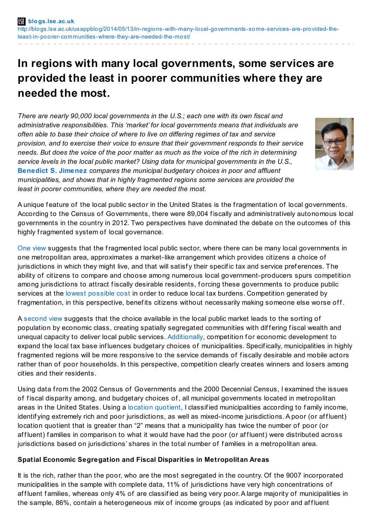# **In regions with many local governments, some services are provided the least in poorer communities where they are needed the most.**

*There are nearly 90,000 local governments in the U.S.; each one with its own fiscal and administrative responsibilities. This 'market' for local governments means that individuals are often able to base their choice of where to live on differing regimes of tax and service provision, and to exercise their voice to ensure that their government responds to their service* needs. But does the voice of the poor matter as much as the voice of the rich in determining *service levels in the local public market? Using data for municipal governments in the U.S.,* **[Benedict](http://wp.me/p3I2YF-1Nb#Author) S. Jimenez** *compares the municipal budgetary choices in poor and affluent municipalities, and shows that in highly fragmented regions some services are provided the least in poorer communities, where they are needed the most.*



A unique f eature of the local public sector in the United States is the fragmentation of local governments. According to the Census of Governments, there were 89,004 f iscally and administratively autonomous local governments in the country in 2012. Two perspectives have dominated the debate on the outcomes of this highly fragmented system of local governance.

One [view](http://www.jstor.org/discover/10.2307/1826343?uid=3739696&uid=2134&uid=2&uid=70&uid=4&uid=3739256&sid=21103986073867) suggests that the fragmented local public sector, where there can be many local governments in one metropolitan area, approximates a market-like arrangement which provides citizens a choice of jurisdictions in which they might live, and that will satisfy their specific tax and service preferences. The ability of citizens to compare and choose among numerous local government-producers spurs competition among jurisdictions to attract fiscally desirable residents, forcing these governments to produce public services at the lowest [possible](http://books.google.com/books?id=vkhYSPnCe58C&pg=PR4&lpg=PR4&dq=1989.+The+Competitive+City:+The+Political+Economy+of+Suburbia.+Pittsburgh,+PA:+University+of+Pittsburgh+Press.&source=bl&ots=FwdvEydIUo&sig=A-7Ku65TI1141eATNL9WPr4Gc6s&hl=en&sa=X&ei=OOpqU8SCE7CQyQHeg4HQDw&ved=0CDYQ6AEwAw#v=onepage&q=1989. The Competitive City%3A The Political Economy of Suburbia. Pittsburgh%2C PA%3A University of Pittsburgh Press.&f=false) cost in order to reduce local tax burdens. Competition generated by fragmentation, in this perspective, benefits citizens without necessarily making someone else worse off.

A [second](http://www.jstor.org/discover/10.2307/1959941?uid=3739696&uid=2134&uid=2&uid=70&uid=4&uid=3739256&sid=21103986073867) view suggests that the choice available in the local public market leads to the sorting of population by economic class, creating spatially segregated communities with differing fiscal wealth and unequal capacity to deliver local public services. [Additionally](http://www.press.uchicago.edu/ucp/books/book/chicago/C/bo5960918.html), competition for economic development to expand the local tax base influences budgetary choices of municipalities. Specifically, municipalities in highly fragmented regions will be more responsive to the service demands of fiscally desirable and mobile actors rather than of poor households. In this perspective, competition clearly creates winners and losers among cities and their residents.

Using data from the 2002 Census of Governments and the 2000 Decennial Census, I examined the issues of fiscal disparity among, and budgetary choices of, all municipal governments located in metropolitan areas in the United States. Using a location [quotient](http://uar.sagepub.com/content/17/1/23.abstract), I classified municipalities according to family income, identif ying extremely rich and poor jurisdictions, as well as mixed-income jurisdictions. A poor (or affluent) location quotient that is greater than "2" means that a municipality has twice the number of poor (or affluent) families in comparison to what it would have had the poor (or affluent) were distributed across jurisdictions based on jurisdictions' shares in the total number of f amilies in a metropolitan area.

### **Spatial Economic Segregation and Fiscal Disparities in Metropolitan Areas**

It is the rich, rather than the poor, who are the most segregated in the country. Of the 9007 incorporated municipalities in the sample with complete data, 11% of jurisdictions have very high concentrations of af fluent families, whereas only 4% of are classified as being very poor. A large majority of municipalities in the sample, 86%, contain a heterogeneous mix of income groups (as indicated by poor and affluent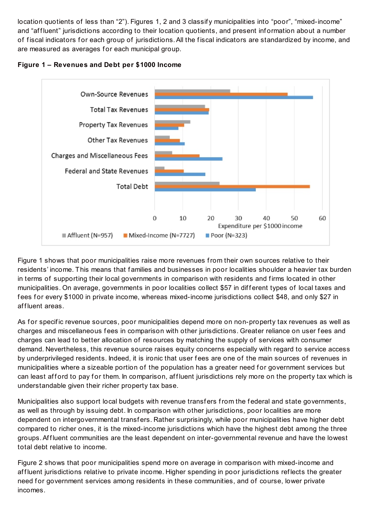location quotients of less than "2"). Figures 1, 2 and 3 classif y municipalities into "poor", "mixed-income" and "affluent" jurisdictions according to their location quotients, and present information about a number of fiscal indicators for each group of jurisdictions. All the fiscal indicators are standardized by income, and are measured as averages for each municipal group.





Figure 1 shows that poor municipalities raise more revenues from their own sources relative to their residents' income. This means that f amilies and businesses in poor localities shoulder a heavier tax burden in terms of supporting their local governments in comparison with residents and firms located in other municipalities. On average, governments in poor localities collect \$57 in different types of local taxes and fees for every \$1000 in private income, whereas mixed-income jurisdictions collect \$48, and only \$27 in af fluent areas.

As for specific revenue sources, poor municipalities depend more on non-property tax revenues as well as charges and miscellaneous fees in comparison with other jurisdictions. Greater reliance on user fees and charges can lead to better allocation of resources by matching the supply of services with consumer demand. Nevertheless, this revenue source raises equity concerns especially with regard to service access by underprivileged residents. Indeed, it is ironic that user f ees are one of the main sources of revenues in municipalities where a sizeable portion of the population has a greater need for government services but can least afford to pay for them. In comparison, affluent jurisdictions rely more on the property tax which is understandable given their richer property tax base.

Municipalities also support local budgets with revenue transfers from the federal and state governments, as well as through by issuing debt. In comparison with other jurisdictions, poor localities are more dependent on intergovernmental transfers. Rather surprisingly, while poor municipalities have higher debt compared to richer ones, it is the mixed-income jurisdictions which have the highest debt among the three groups. Affluent communities are the least dependent on inter-governmental revenue and have the lowest total debt relative to income.

Figure 2 shows that poor municipalities spend more on average in comparison with mixed-income and af fluent jurisdictions relative to private income. Higher spending in poor jurisdictions reflects the greater need for government services among residents in these communities, and of course, lower private incomes.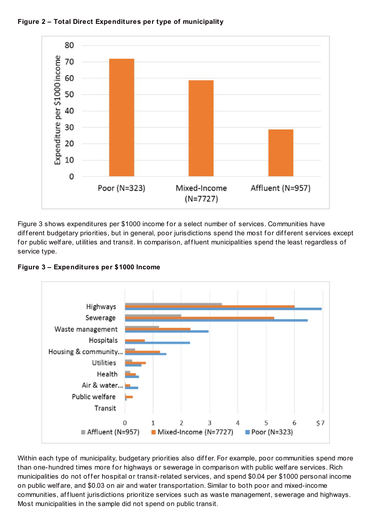



Figure 3 shows expenditures per \$1000 income for a select number of services. Communities have different budgetary priorities, but in general, poor jurisdictions spend the most for different services except for public welfare, utilities and transit. In comparison, affluent municipalities spend the least regardless of service type.



**Figure 3 – Expenditures per \$1000 Income**

Within each type of municipality, budgetary priorities also differ. For example, poor communities spend more than one-hundred times more for highways or sewerage in comparison with public welf are services. Rich municipalities do not offer hospital or transit-related services, and spend \$0.04 per \$1000 personal income on public welf are, and \$0.03 on air and water transportation. Similar to both poor and mixed-income communities, affluent jurisdictions prioritize services such as waste management, sewerage and highways. Most municipalities in the sample did not spend on public transit.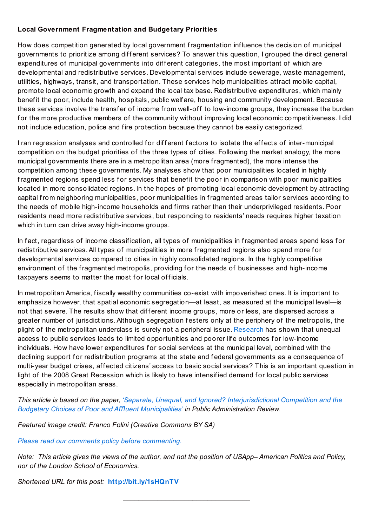## **Local Government Fragmentation and Budgetary Priorities**

How does competition generated by local government fragmentation inf luence the decision of municipal governments to prioritize among different services? To answer this question, I grouped the direct general expenditures of municipal governments into different categories, the most important of which are developmental and redistributive services. Developmental services include sewerage, waste management, utilities, highways, transit, and transportation. These services help municipalities attract mobile capital, promote local economic growth and expand the local tax base. Redistributive expenditures, which mainly benef it the poor, include health, hospitals, public welf are, housing and community development. Because these services involve the transfer of income from well-off to low-income groups, they increase the burden for the more productive members of the community without improving local economic competitiveness. I did not include education, police and fire protection because they cannot be easily categorized.

I ran regression analyses and controlled for different factors to isolate the effects of inter-municipal competition on the budget priorities of the three types of cities. Following the market analogy, the more municipal governments there are in a metropolitan area (more fragmented), the more intense the competition among these governments. My analyses show that poor municipalities located in highly fragmented regions spend less for services that benefit the poor in comparison with poor municipalities located in more consolidated regions. In the hopes of promoting local economic development by attracting capital from neighboring municipalities, poor municipalities in fragmented areas tailor services according to the needs of mobile high-income households and f irms rather than their underprivileged residents. Poor residents need more redistributive services, but responding to residents' needs requires higher taxation which in turn can drive away high-income groups.

In fact, regardless of income classification, all types of municipalities in fragmented areas spend less for redistributive services. All types of municipalities in more fragmented regions also spend more for developmental services compared to cities in highly consolidated regions. In the highly competitive environment of the fragmented metropolis, providing for the needs of businesses and high-income taxpayers seems to matter the most for local officials.

In metropolitan America, f iscally wealthy communities co-exist with impoverished ones. It is important to emphasize however, that spatial economic segregation—at least, as measured at the municipal level—is not that severe. The results show that different income groups, more or less, are dispersed across a greater number of jurisdictions.Although segregation f esters only at the periphery of the metropolis, the plight of the metropolitan underclass is surely not a peripheral issue. [Research](http://www.nap.edu/openbook.php?record_id=6038) has shown that unequal access to public services leads to limited opportunities and poorer life outcomes for low-income individuals. How have lower expenditures for social services at the municipal level, combined with the declining support for redistribution programs at the state and federal governments as a consequence of multi-year budget crises, affected citizens' access to basic social services? This is an important question in light of the 2008 Great Recession which is likely to have intensified demand for local public services especially in metropolitan areas.

*This article is based on the paper, 'Separate, Unequal, and Ignored? [Interjurisdictional](http://onlinelibrary.wiley.com/doi/10.1111/puar.12186/abstract) Competition and the Budgetary Choices of Poor and A*ffl*uent Municipalities' in Public Administration Review.*

*Featured image credit: Franco Folini (Creative Commons BY SA)*

*Please read our comments policy before [commenting.](http://blogs.lse.ac.uk/usappblog/comments-policy/)*

Note: This article gives the views of the author, and not the position of USApp-American Politics and Policy, *nor of the London School of Economics.*

 $\mathcal{L}_\text{max}$  , where  $\mathcal{L}_\text{max}$  , we have the set of the set of the set of the set of the set of the set of the set of the set of the set of the set of the set of the set of the set of the set of the set of the set of

*Shortened URL for this post:* **<http://bit.ly/1sHQnTV>**